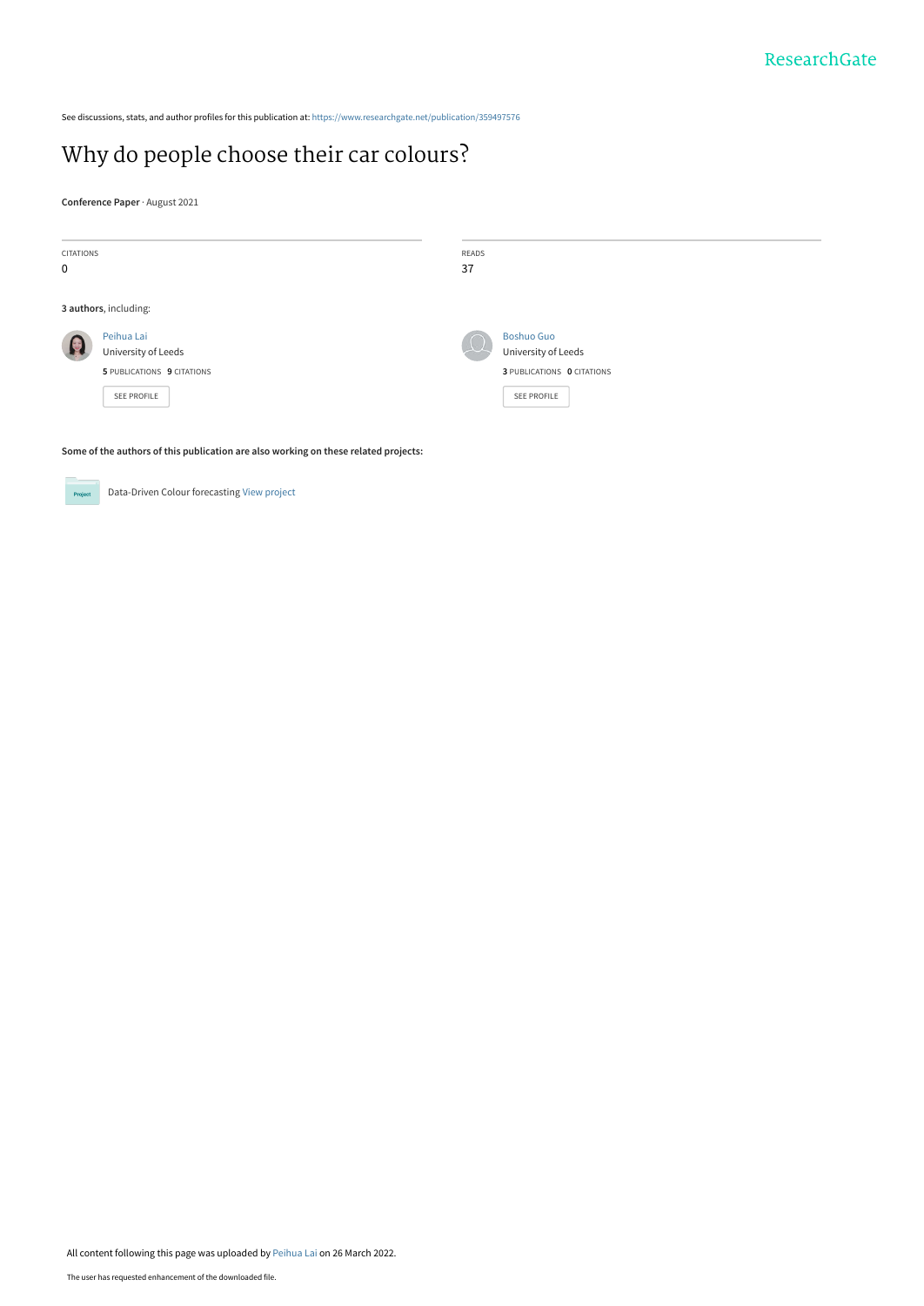See discussions, stats, and author profiles for this publication at: [https://www.researchgate.net/publication/359497576](https://www.researchgate.net/publication/359497576_Why_do_people_choose_their_car_colours?enrichId=rgreq-6ee452e557fe82ba2a2ad71587cdc1f7-XXX&enrichSource=Y292ZXJQYWdlOzM1OTQ5NzU3NjtBUzoxMTM3OTk2NjU3MTExMDQwQDE2NDgzMzA5NTQwNzg%3D&el=1_x_2&_esc=publicationCoverPdf)

# [Why do people choose their car colours?](https://www.researchgate.net/publication/359497576_Why_do_people_choose_their_car_colours?enrichId=rgreq-6ee452e557fe82ba2a2ad71587cdc1f7-XXX&enrichSource=Y292ZXJQYWdlOzM1OTQ5NzU3NjtBUzoxMTM3OTk2NjU3MTExMDQwQDE2NDgzMzA5NTQwNzg%3D&el=1_x_3&_esc=publicationCoverPdf)

**Conference Paper** · August 2021

| CITATIONS             |                            | READS |                                   |  |
|-----------------------|----------------------------|-------|-----------------------------------|--|
| 0                     |                            | 37    |                                   |  |
|                       |                            |       |                                   |  |
| 3 authors, including: |                            |       |                                   |  |
|                       | Peihua Lai                 |       | <b>Boshuo Guo</b>                 |  |
| Q                     | University of Leeds        | (1)   | University of Leeds               |  |
|                       | 5 PUBLICATIONS 9 CITATIONS |       | <b>3 PUBLICATIONS 0 CITATIONS</b> |  |
|                       | SEE PROFILE                |       | SEE PROFILE                       |  |
|                       |                            |       |                                   |  |
|                       |                            |       |                                   |  |

**Some of the authors of this publication are also working on these related projects:**



Data-Driven Colour forecasting [View project](https://www.researchgate.net/project/Data-Driven-Colour-forecasting?enrichId=rgreq-6ee452e557fe82ba2a2ad71587cdc1f7-XXX&enrichSource=Y292ZXJQYWdlOzM1OTQ5NzU3NjtBUzoxMTM3OTk2NjU3MTExMDQwQDE2NDgzMzA5NTQwNzg%3D&el=1_x_9&_esc=publicationCoverPdf)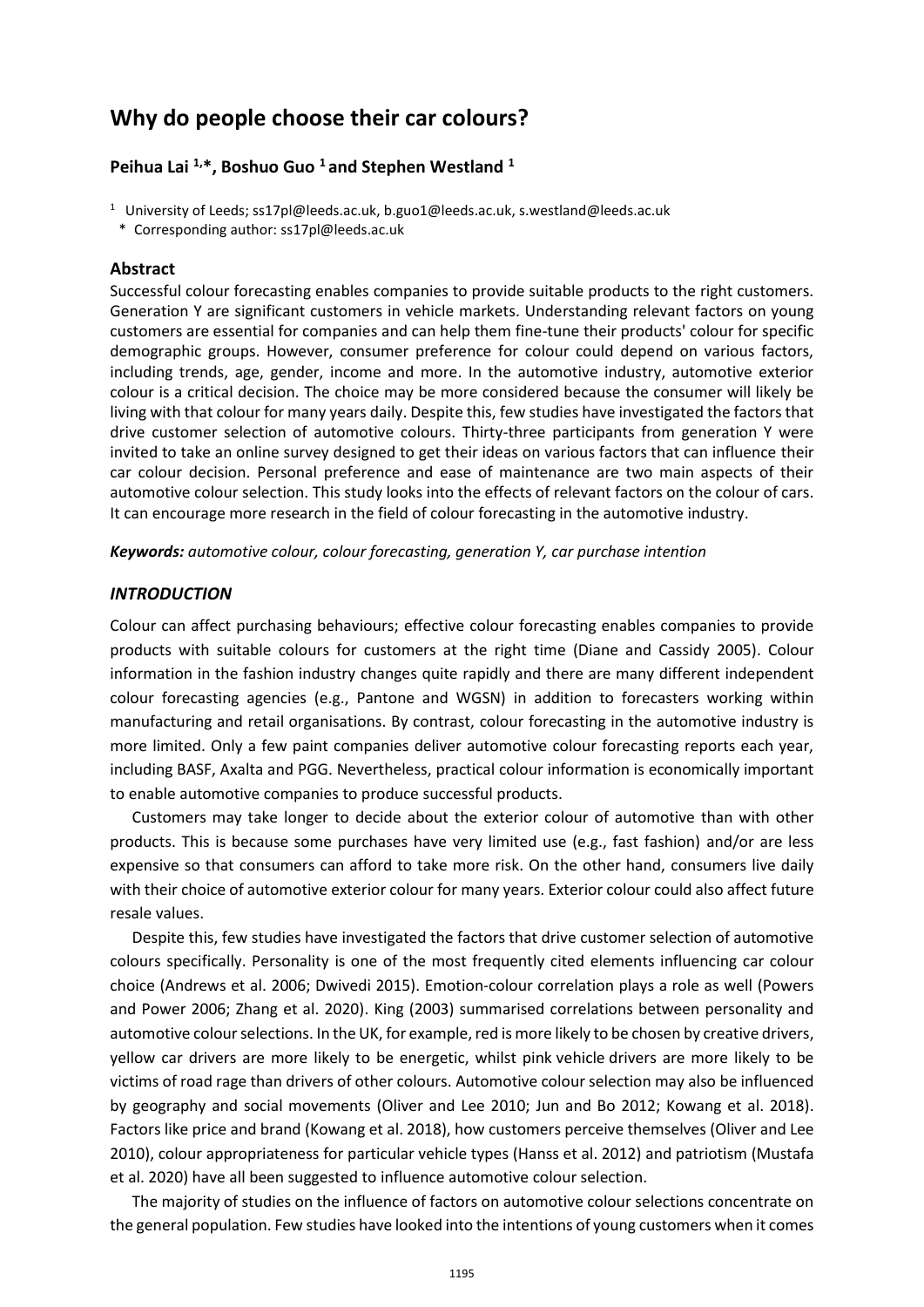# **Why do people choose their car colours?**

### **Peihua Lai 1, \*, Boshuo Guo 1 and Stephen Westland 1**

- <sup>1</sup> University of Leeds; ss17pl@leeds.ac.uk, [b.guo1@leeds.ac.uk,](mailto:b.guo1@leeds.ac.uk) s.westland@leeds.ac.uk
- \* Corresponding author: [ss17pl@leeds.ac.uk](mailto:ss17pl@leeds.ac.uk)

#### **Abstract**

Successful colour forecasting enables companies to provide suitable products to the right customers. Generation Y are significant customers in vehicle markets. Understanding relevant factors on young customers are essential for companies and can help them fine-tune their products' colour for specific demographic groups. However, consumer preference for colour could depend on various factors, including trends, age, gender, income and more. In the automotive industry, automotive exterior colour is a critical decision. The choice may be more considered because the consumer will likely be living with that colour for many years daily. Despite this, few studies have investigated the factors that drive customer selection of automotive colours. Thirty-three participants from generation Y were invited to take an online survey designed to get their ideas on various factors that can influence their car colour decision. Personal preference and ease of maintenance are two main aspects of their automotive colour selection. This study looks into the effects of relevant factors on the colour of cars. It can encourage more research in the field of colour forecasting in the automotive industry.

*Keywords: automotive colour, colour forecasting, generation Y, car purchase intention*

#### *INTRODUCTION*

Colour can affect purchasing behaviours; effective colour forecasting enables companies to provide products with suitable colours for customers at the right time (Diane and Cassidy 2005). Colour information in the fashion industry changes quite rapidly and there are many different independent colour forecasting agencies (e.g., Pantone and WGSN) in addition to forecasters working within manufacturing and retail organisations. By contrast, colour forecasting in the automotive industry is more limited. Only a few paint companies deliver automotive colour forecasting reports each year, including BASF, Axalta and PGG. Nevertheless, practical colour information is economically important to enable automotive companies to produce successful products.

Customers may take longer to decide about the exterior colour of automotive than with other products. This is because some purchases have very limited use (e.g., fast fashion) and/or are less expensive so that consumers can afford to take more risk. On the other hand, consumers live daily with their choice of automotive exterior colour for many years. Exterior colour could also affect future resale values.

Despite this, few studies have investigated the factors that drive customer selection of automotive colours specifically. Personality is one of the most frequently cited elements influencing car colour choice (Andrews et al. 2006; Dwivedi 2015). Emotion-colour correlation plays a role as well (Powers and Power 2006; Zhang et al. 2020). King (2003) summarised correlations between personality and automotive colour selections. In the UK, for example, red is more likely to be chosen by creative drivers, yellow car drivers are more likely to be energetic, whilst pink vehicle drivers are more likely to be victims of road rage than drivers of other colours. Automotive colour selection may also be influenced by geography and social movements (Oliver and Lee 2010; Jun and Bo 2012; Kowang et al. 2018). Factors like price and brand (Kowang et al. 2018), how customers perceive themselves (Oliver and Lee 2010), colour appropriateness for particular vehicle types (Hanss et al. 2012) and patriotism (Mustafa et al. 2020) have all been suggested to influence automotive colour selection.

The majority of studies on the influence of factors on automotive colour selections concentrate on the general population. Few studies have looked into the intentions of young customers when it comes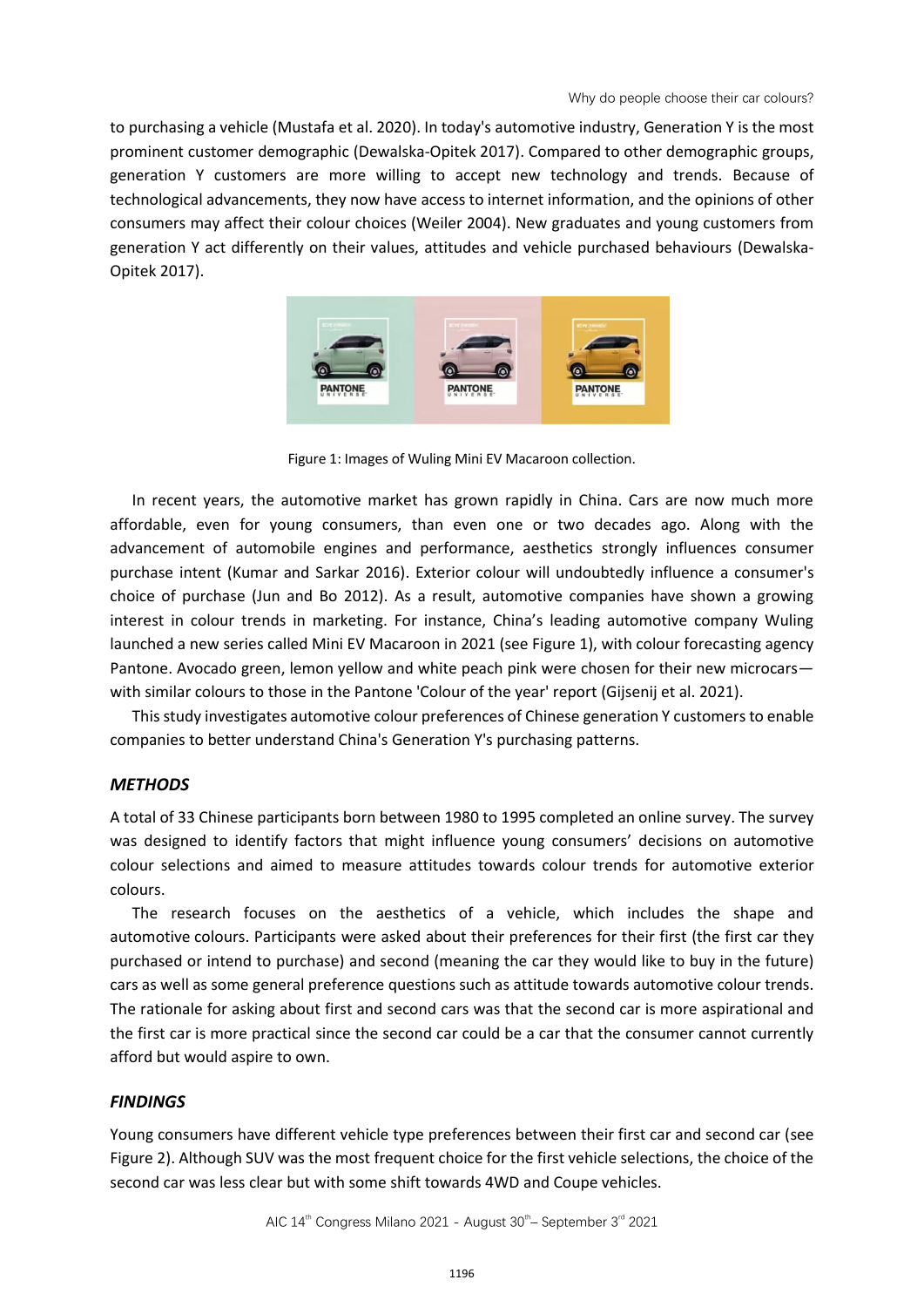to purchasing a vehicle (Mustafa et al. 2020). In today's automotive industry, Generation Y is the most prominent customer demographic (Dewalska-Opitek 2017). Compared to other demographic groups, generation Y customers are more willing to accept new technology and trends. Because of technological advancements, they now have access to internet information, and the opinions of other consumers may affect their colour choices (Weiler 2004). New graduates and young customers from generation Y act differently on their values, attitudes and vehicle purchased behaviours (Dewalska-Opitek 2017).



Figure 1: Images of Wuling Mini EV Macaroon collection.

In recent years, the automotive market has grown rapidly in China. Cars are now much more affordable, even for young consumers, than even one or two decades ago. Along with the advancement of automobile engines and performance, aesthetics strongly influences consumer purchase intent (Kumar and Sarkar 2016). Exterior colour will undoubtedly influence a consumer's choice of purchase (Jun and Bo 2012). As a result, automotive companies have shown a growing interest in colour trends in marketing. For instance, China's leading automotive company Wuling launched a new series called Mini EV Macaroon in 2021 (see Figure 1), with colour forecasting agency Pantone. Avocado green, lemon yellow and white peach pink were chosen for their new microcars with similar colours to those in the Pantone 'Colour of the year' report (Gijsenij et al. 2021).

This study investigates automotive colour preferences of Chinese generation Y customersto enable companies to better understand China's Generation Y's purchasing patterns.

## *METHODS*

A total of 33 Chinese participants born between 1980 to 1995 completed an online survey. The survey was designed to identify factors that might influence young consumers' decisions on automotive colour selections and aimed to measure attitudes towards colour trends for automotive exterior colours.

The research focuses on the aesthetics of a vehicle, which includes the shape and automotive colours. Participants were asked about their preferences for their first (the first car they purchased or intend to purchase) and second (meaning the car they would like to buy in the future) cars as well as some general preference questions such as attitude towards automotive colour trends. The rationale for asking about first and second cars was that the second car is more aspirational and the first car is more practical since the second car could be a car that the consumer cannot currently afford but would aspire to own.

#### *FINDINGS*

Young consumers have different vehicle type preferences between their first car and second car (see Figure 2). Although SUV was the most frequent choice for the first vehicle selections, the choice of the second car was less clear but with some shift towards 4WD and Coupe vehicles.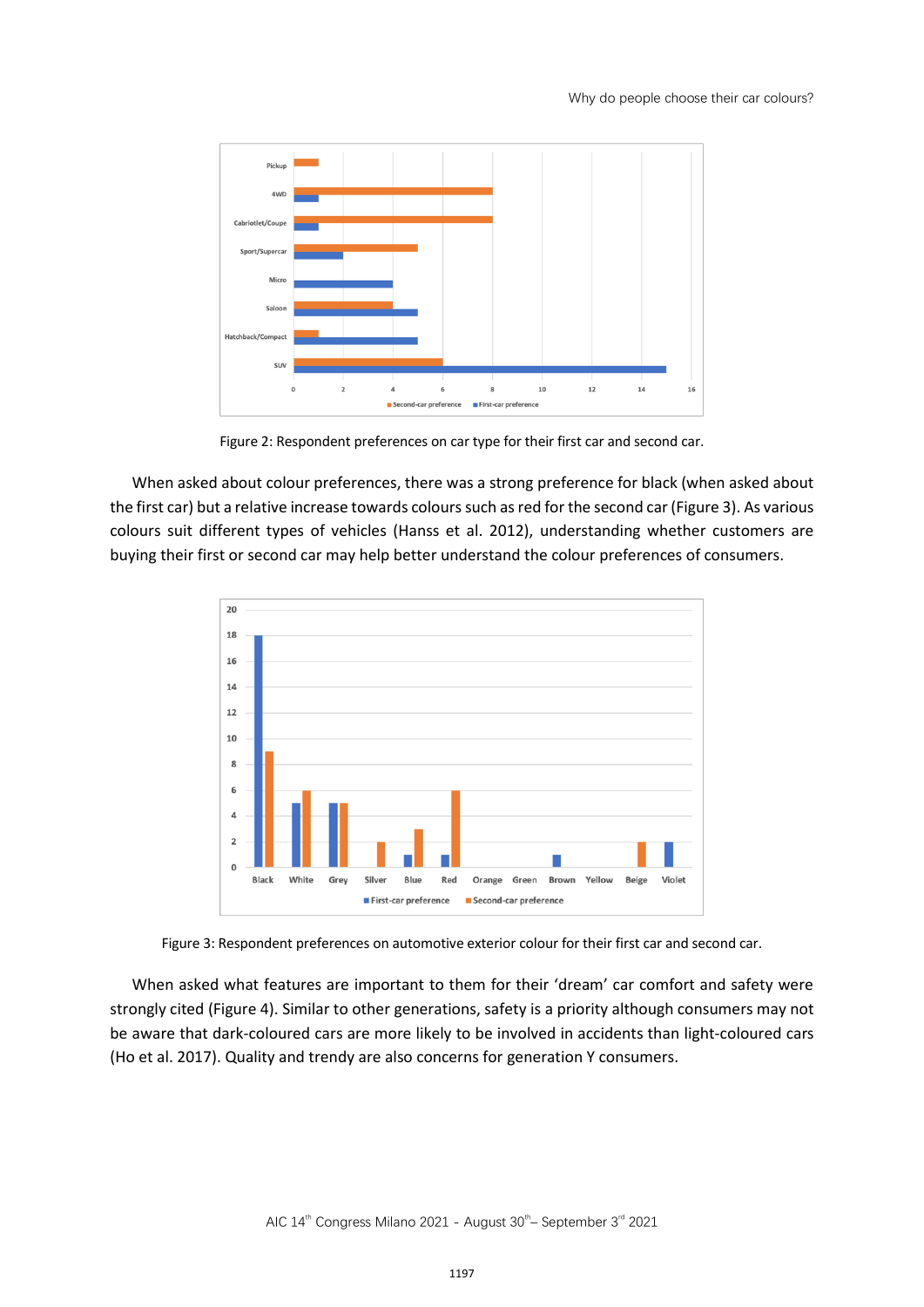

Figure 2: Respondent preferences on car type for their first car and second car.

When asked about colour preferences, there was a strong preference for black (when asked about the first car) but a relative increase towards colours such as red for the second car (Figure 3). As various colours suit different types of vehicles (Hanss et al. 2012), understanding whether customers are buying their first or second car may help better understand the colour preferences of consumers.



Figure 3: Respondent preferences on automotive exterior colour for their first car and second car.

When asked what features are important to them for their 'dream' car comfort and safety were strongly cited (Figure 4). Similar to other generations, safety is a priority although consumers may not be aware that dark-coloured cars are more likely to be involved in accidents than light-coloured cars (Ho et al. 2017). Quality and trendy are also concerns for generation Y consumers.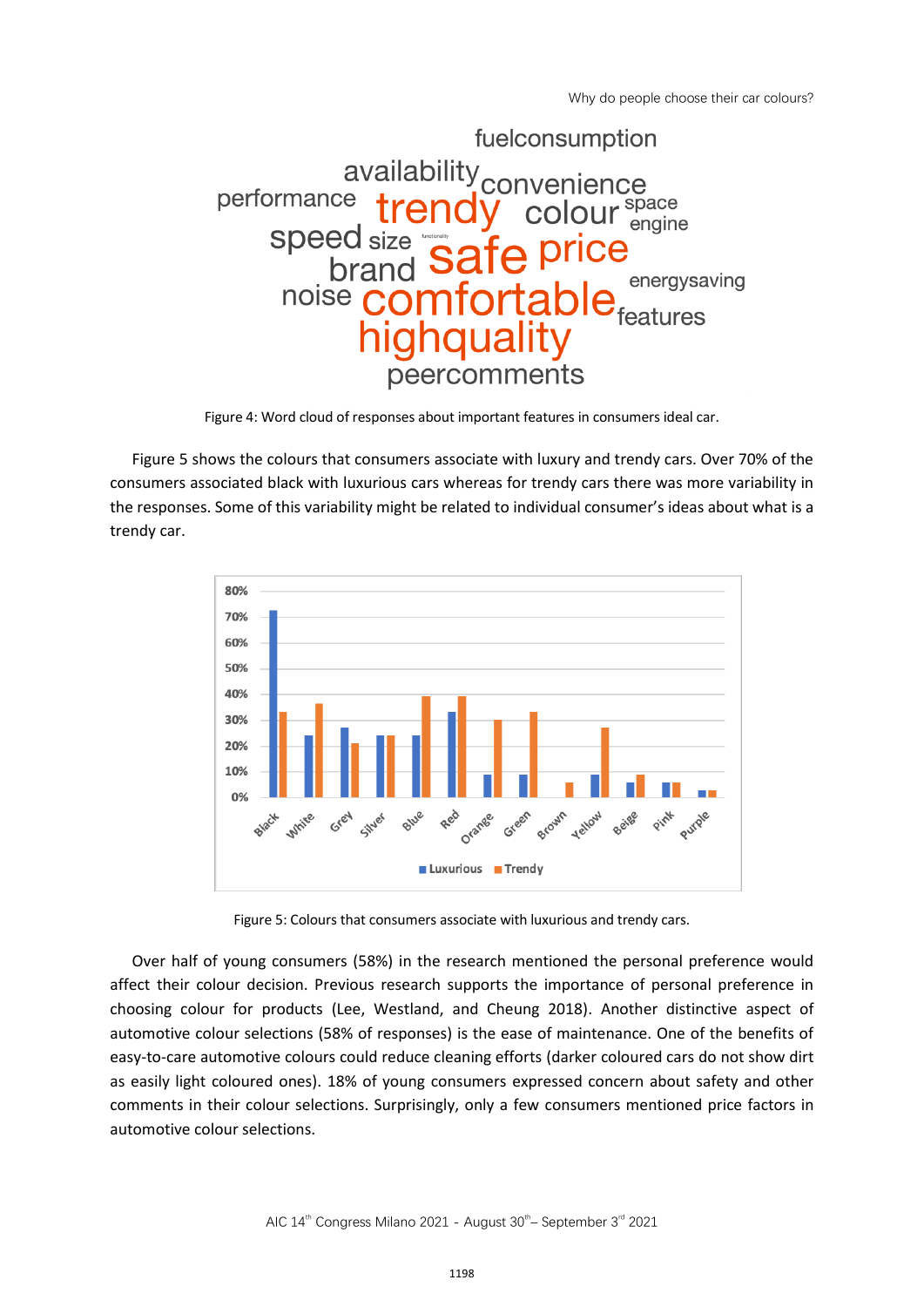Why do people choose their car colours?



Figure 4: Word cloud of responses about important features in consumers ideal car.

Figure 5 shows the colours that consumers associate with luxury and trendy cars. Over 70% of the consumers associated black with luxurious cars whereas for trendy cars there was more variability in the responses. Some of this variability might be related to individual consumer's ideas about what is a trendy car.



Figure 5: Colours that consumers associate with luxurious and trendy cars.

Over half of young consumers (58%) in the research mentioned the personal preference would affect their colour decision. Previous research supports the importance of personal preference in choosing colour for products (Lee, Westland, and Cheung 2018). Another distinctive aspect of automotive colour selections (58% of responses) is the ease of maintenance. One of the benefits of easy-to-care automotive colours could reduce cleaning efforts (darker coloured cars do not show dirt as easily light coloured ones). 18% of young consumers expressed concern about safety and other comments in their colour selections. Surprisingly, only a few consumers mentioned price factors in automotive colour selections.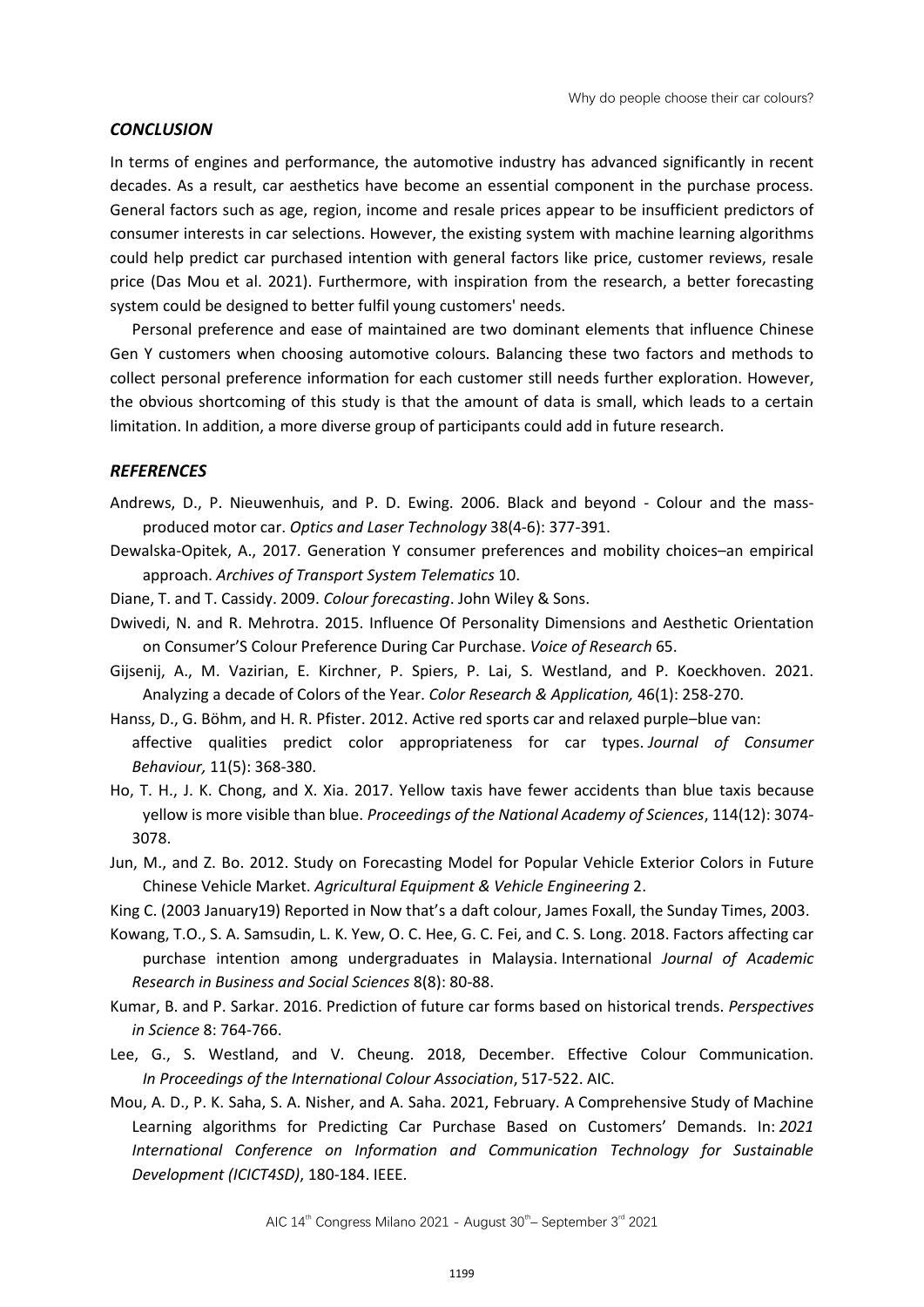#### *CONCLUSION*

In terms of engines and performance, the automotive industry has advanced significantly in recent decades. As a result, car aesthetics have become an essential component in the purchase process. General factors such as age, region, income and resale prices appear to be insufficient predictors of consumer interests in car selections. However, the existing system with machine learning algorithms could help predict car purchased intention with general factors like price, customer reviews, resale price (Das Mou et al. 2021). Furthermore, with inspiration from the research, a better forecasting system could be designed to better fulfil young customers' needs.

Personal preference and ease of maintained are two dominant elements that influence Chinese Gen Y customers when choosing automotive colours. Balancing these two factors and methods to collect personal preference information for each customer still needs further exploration. However, the obvious shortcoming of this study is that the amount of data is small, which leads to a certain limitation. In addition, a more diverse group of participants could add in future research.

#### *REFERENCES*

- Andrews, D., P. Nieuwenhuis, and P. D. Ewing. 2006. Black and beyond Colour and the massproduced motor car. *Optics and Laser Technology* 38(4-6): 377-391.
- Dewalska-Opitek, A., 2017. Generation Y consumer preferences and mobility choices–an empirical approach. *Archives of Transport System Telematics* 10.
- Diane, T. and T. Cassidy. 2009. *Colour forecasting*. John Wiley & Sons.
- Dwivedi, N. and R. Mehrotra. 2015. Influence Of Personality Dimensions and Aesthetic Orientation on Consumer'S Colour Preference During Car Purchase. *Voice of Research* 65.
- Gijsenij, A., M. Vazirian, E. Kirchner, P. Spiers, P. Lai, S. Westland, and P. Koeckhoven. 2021. Analyzing a decade of Colors of the Year. *Color Research & Application,* 46(1): 258-270.
- Hanss, D., G. Böhm, and H. R. Pfister. 2012. Active red sports car and relaxed purple–blue van: affective qualities predict color appropriateness for car types. *Journal of Consumer Behaviour,* 11(5): 368-380.
- Ho, T. H., J. K. Chong, and X. Xia. 2017. Yellow taxis have fewer accidents than blue taxis because yellow is more visible than blue. *Proceedings of the National Academy of Sciences*, 114(12): 3074- 3078.
- Jun, M., and Z. Bo. 2012. Study on Forecasting Model for Popular Vehicle Exterior Colors in Future Chinese Vehicle Market. *Agricultural Equipment & Vehicle Engineering* 2.
- King C. (2003 January19) Reported in Now that's a daft colour, James Foxall, the Sunday Times, 2003.
- Kowang, T.O., S. A. Samsudin, L. K. Yew, O. C. Hee, G. C. Fei, and C. S. Long. 2018. Factors affecting car purchase intention among undergraduates in Malaysia. International *Journal of Academic Research in Business and Social Sciences* 8(8): 80-88.
- Kumar, B. and P. Sarkar. 2016. Prediction of future car forms based on historical trends. *Perspectives in Science* 8: 764-766.
- Lee, G., S. Westland, and V. Cheung. 2018, December. Effective Colour Communication. *In Proceedings of the International Colour Association*, 517-522. AIC.
- Mou, A. D., P. K. Saha, S. A. Nisher, and A. Saha. 2021, February. A Comprehensive Study of Machine Learning algorithms for Predicting Car Purchase Based on Customers' Demands. In: *2021 International Conference on Information and Communication Technology for Sustainable Development (ICICT4SD)*, 180-184. IEEE.